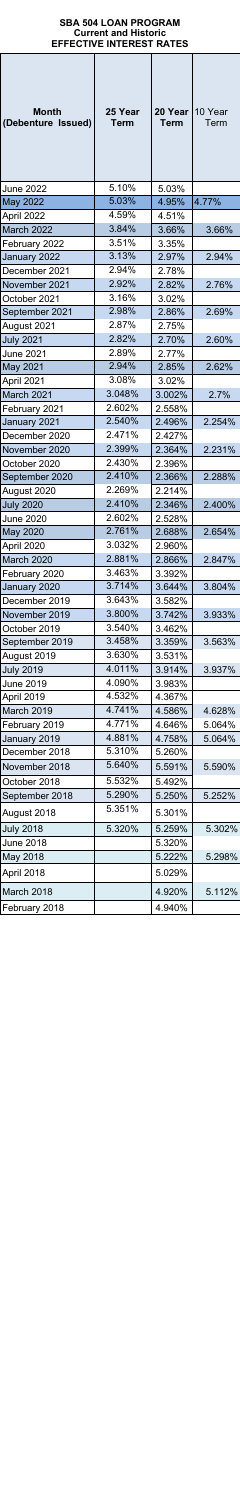| Month<br>(Debenture Issued)     | 25 Year<br>Term  | 20 Year<br>Term  | 10 Year<br>Term |
|---------------------------------|------------------|------------------|-----------------|
| <b>June 2022</b>                | 5.10%            | 5.03%            |                 |
| May 2022                        | 5.03%            | 4.95%            | 4.77%           |
| April 2022                      | 4.59%            | 4.51%            |                 |
| March 2022                      | 3.84%            | 3.66%            | 3.66%           |
| February 2022                   | 3.51%            | 3.35%            |                 |
| January 2022                    | 3.13%            | 2.97%            | 2.94%           |
| December 2021                   | 2.94%            | 2.78%            |                 |
| November 2021                   | 2.92%            | 2.82%            | 2.76%           |
| October 2021                    | 3.16%            | 3.02%            |                 |
| September 2021                  | 2.98%            | 2.86%            | 2.69%           |
| August 2021                     | 2.87%            | 2.75%            |                 |
| <b>July 2021</b>                | 2.82%            | 2.70%            | 2.60%           |
| <b>June 2021</b>                | 2.89%            | 2.77%            |                 |
| May 2021                        | 2.94%            | 2.85%            | 2.62%           |
| April 2021                      | 3.08%            | 3.02%            |                 |
| March 2021                      | 3.048%           | 3.002%           | 2.7%            |
| February 2021                   | 2.602%           | 2.558%           |                 |
| January 2021                    | 2.540%           | 2.496%           | 2.254%          |
| December 2020                   | 2.471%           | 2.427%           |                 |
| November 2020                   | 2.399%<br>2.430% | 2.364%           | 2.231%          |
| October 2020                    | 2.410%           | 2.396%           | 2.288%          |
| September 2020                  | 2.269%           | 2.366%<br>2.214% |                 |
| August 2020<br><b>July 2020</b> | 2.410%           | 2.346%           | 2.400%          |
| June 2020                       | 2.602%           | 2.528%           |                 |
| May 2020                        | 2.761%           | 2.688%           | 2.654%          |
| April 2020                      | 3.032%           | 2.960%           |                 |
| March 2020                      | 2.881%           | 2.866%           | 2.847%          |
| February 2020                   | 3.463%           | 3.392%           |                 |
| January 2020                    | 3.714%           | 3.644%           | 3.804%          |
| December 2019                   | 3.643%           | 3.582%           |                 |
| November 2019                   | 3.800%           | 3.742%           | 3.933%          |
| October 2019                    | 3.540%           | 3.462%           |                 |
| September 2019                  | 3.458%           | 3.359%           | 3.563%          |
| August 2019                     | 3.630%           | 3.531%           |                 |
| <b>July 2019</b>                | 4.011%           | 3.914%           | 3.937%          |
| June 2019                       | 4.090%           | 3.983%           |                 |
| April 2019                      | 4.532%           | 4.367%           |                 |
| March 2019                      | 4.741%           | 4.586%           | 4.628%          |
| February 2019                   | 4.771%           | 4.646%           | 5.064%          |
| January 2019                    | 4.881%           | 4.758%           | 5.064%          |
| December 2018                   | 5.310%           | 5.260%           |                 |
| November 2018                   | 5.640%           | 5.591%           | 5.590%          |
| October 2018                    | 5.532%           | 5.492%           |                 |
| September 2018                  | 5.290%           | 5.250%           | 5.252%          |
| August 2018                     | 5.351%           | 5.301%           |                 |
| <b>July 2018</b>                | 5.320%           | 5.259%           | 5.302%          |
| <b>June 2018</b>                |                  | 5.320%           |                 |
| May 2018                        |                  | 5.222%           | 5.298%          |
| April 2018                      |                  | 5.029%           |                 |
| March 2018                      |                  | 4.920%           | 5.112%          |
| February 2018                   |                  | 4.940%           |                 |